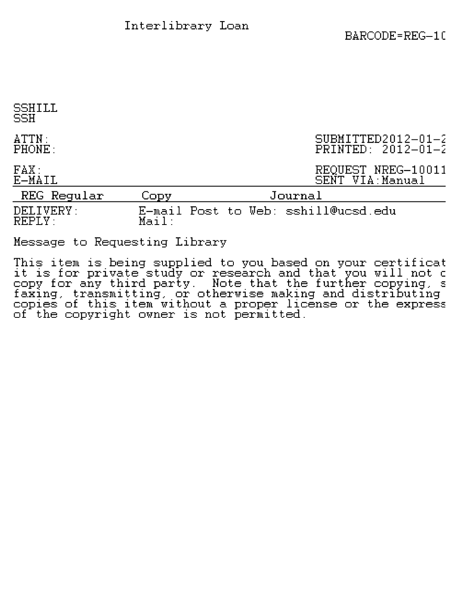| SSHILL<br><b>SSH</b> |       |  |         |                                          |
|----------------------|-------|--|---------|------------------------------------------|
| ATTN:<br>PHONE:      |       |  |         | SUBMITTED2012-01-2<br>PRINTED: 2012-01-2 |
| FAX:<br>E-MAIL       |       |  |         | REQUEST NREG-10011<br>SENT VIA Manual    |
| REG Reqular          | Copy  |  | Journal |                                          |
| DELIVERY:<br>REPLY   | Mail: |  |         | E-mail Post to Web: sshill@ucsd.edu      |

Message to Requesting Library

This item is being supplied to you based on your certif it is for private study or research and that you will not c copy for any third party. Note that the further copying, s faxing, transmitting, or otherwise making and distributing copies of this item without a proper license or the express of the copyright owner is not permitted.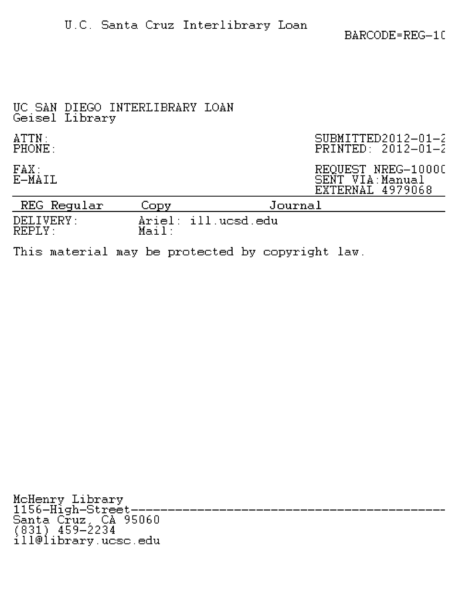|  |  |  | U.C. Santa Cruz Interlibrary Loan |  |
|--|--|--|-----------------------------------|--|
|--|--|--|-----------------------------------|--|

BARCODE=REG-lC

| UC SAN DIEGO INTERLIBRARY LOAN<br>Geisel Library |       |                     |         |                                                            |
|--------------------------------------------------|-------|---------------------|---------|------------------------------------------------------------|
| $ATTN$ .<br>PHONE:                               |       |                     |         | SUBMITTED2012-01-2<br>PRINTED: 2012-01-2                   |
| $\texttt{FAX}:$<br>E-MAIL                        |       |                     |         | REQUEST NREG-10000<br>SENT VIA: Manual<br>EXTERNAL 4979068 |
| REG Reqular                                      | Copy  |                     | Journal |                                                            |
| DELIVERY:<br>REPLY:                              | Mail: | Ariel: ill.ucsd.edu |         |                                                            |

This material may be protected by copyright law.

McHenry Library<br>1156-High-Street--------------------------Santa Cruz, CA 95060 (831) 459-2234 ill@library.ucs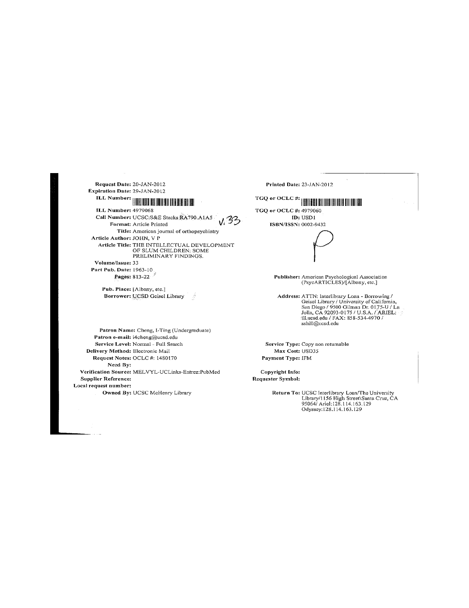**Request Date:** 20-JAN-2012 **Expiration Date:** 29-JAN-20l2 **ILL Number: 111111111111111111111111111111111111111111111 ILL Number:** 4979068 Call Number: UCSC:S&E Stacks.RA790.A1A5  $V.33$ Format; Article Printed Title: American journal of orthopsychiatry **Article Author:** JOHN, VP A**rticle Title: T**HE INTELLECTUAL DEVELOPMEN<br>OF SLUM CHILDREN: SOME<br>PRELIMINARY FINDINGS. **Volume/Issue:** 33 **Part Pub. Date:** 1963-10 **Pages:** 813-22

**Pub. Place:** [Albany, etc.] **Borrower:** UCSD Geisel Library

**Patron Name:** Cheng, I-Ting (Undergraduate) Patron e-mail: i4cheng@ucsd.edu **Service Level:** Normal - Full Search **Delivery Method:** Electronic Mail **Request Notes:** OCLC #: 1480170 **Need By: Verification Source:** MELVYL-UCLinks-Entrez:PubMed **Supplier Reference:**  Local request number: **Owned By:** UCSC McHenry Library

**Printed Date:** 23-JAN-20 12

**TGQ or OCLC <sup>#:</sup> |||||||||||||||||||||||||||||||||** 

**TGQ or OCLC** #: 4979060 ID: USDl **ISBN/ISSN:** 0002-9432

 $\bigodot$ 

Publisher: American Psychological Association (PsycARTICLES)/[Albany, etc.]

**Address:** ATTN: Interlibrary Loan - Borrowing *I*  Geisel Library / University of Califomia,<br>San Diego / 9500 Gilman Dr. 0175-U / La<br>Jolla, CA 92093-0175 / U.S.A. / ARIEL:<br>ill.ucsd.edu / FAX: 858-534-4970 / sshill@ucsd.edu

Service Type: Copy non returnable **Max Cost:** USD35 **Payment Type:** IFM

**Copyright Info: Requester Symbol:** 

> **Return To:** UCSC Interlibrary Loan/The University Library/l 156 High Street\Santa Cruz, CA 95064/ Ariel:128.114.163.129 Odyssey: 128.114.163.129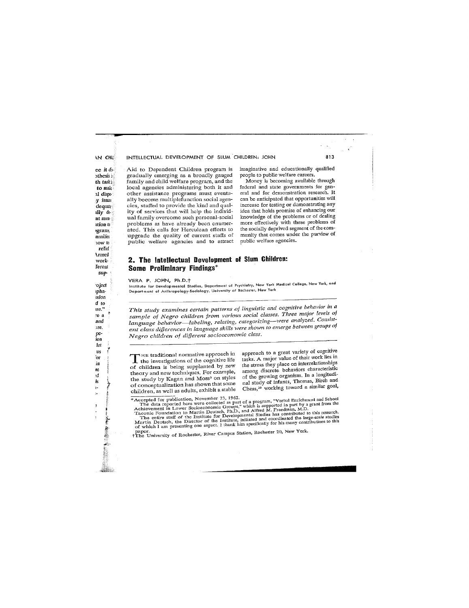**IN CHIL** 

#### INTELLECTUAL DEVELOPMENT OF SLUM CHILDREN: JOHN

ce it diothesis is th tasks to mak al dispoy issus dequat illy deat mer ttion to grams, amiles 10W to relief Armed workferent supoject ipha-.<br>sion  $\mathbf d$  to ue."

re a

and

tre. pe-<br>ion

 $l$ et **us** 

`or

in

<sub>re</sub>

 $\mathbf{d}$ 

 $\mathbf{fs}$ 

 $\mathbf{I}$ 

þ,

美意

 $\mathcal{L}^{\text{max}}$ 

Aid to Dependent Children program is gradually emerging as a broadly gauged family and child welfare program, and the local agencies administering both it and other assistance programs must eventually become multiplefunction social agencies, staffed to provide the kind and quality of services that will help the individual family overcome such personal-social problems as have already been enumerated. This calls for Herculean efforts to upgrade the quality of current staffs of public welfare agencies and to attract imaginative and educationally qualified people to public welfare careers.

813

Money is becoming available through federal and state governments for general and for demonstration research. It can be anticipated that opportunities will increase for testing or demonstrating any idea that holds promise of enhancing our knowledge of the problems or of dealing more effectively with these problems of the socially deprived segment of the community that comes under the purview of public welfare agencies.

#### 2. The Intellectual Development of Slum Children: Some Prellmlnary Findings\*

VERA P. JOHN, Ph.D.+

Institute for Developmental Studies, Department of Psychiatry, New York Medical College, New York, and Department of Anthropology-Sociology, University of Rochester, New York

This study examines certain patterns of linguistic and cognitive behavior in a sample of Negro children from various social classes. Three major levels of language behavior-labeling, relating, categorizing-were analyzed. Consistent class differences in language skills were shown to emerge between groups of Negro children of different socioeconomic class.

THE traditional normative approach in<br>the investigations of the cognitive life of children is being supplanted by new theory and new techniques. For example, the study by Kagan and Moss<sup>5</sup> on styles of conceptualization has shown that some children, as well as adults, exhibit a stable

approach to a great variety of cognitive tasks. A major value of their work lies in the stress they place on interrelationships among discrete behaviors characteristic<br>of the growing organism. In a longitudinal study of infants, Thomas, Birch and<br>Chess,<sup>10</sup> working toward a similar goal,

The data reported for publication, November 23, 1962.<br>
The data reported for publication, November 23, 1962.<br>
The data reported for exerce collected as part of a program, "Verbal Enrichment and School<br>
The corrected here w

paper.<br>†The University of Rochester, River Campus Station, Rochester 20, New York.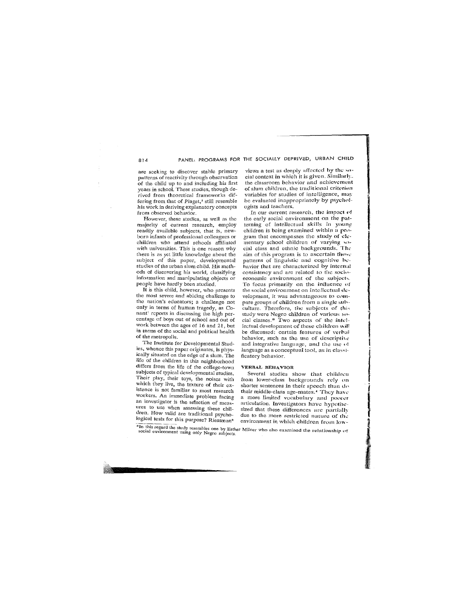#### 814 PANEL, PROGRAMS FOR THE SOCIALLY DEPRIVED, URBAN CHILO

are seeking to discover stable primary patterns of reactivity through observation of the child up to and including his first years in school. These studies, though derived from theoretical frameworks differing from that of Piaget,<sup>3</sup> still resemble his work in deriving explanatory concepts from observed behavior.

However, these studies, as well as the majority of current research, employ readily available subjects, that is, newborn infants of professional colleagues or children who attend schools affiliated with universities. This is one reason why there is as yet little knowledge about the suhject of this paper, developmental studies of the urban slum child. His methods of discovering his world, classifying information and manipulating objects or people have hardly been studied.

It is this child, however, who presents the most severe and abiding challenge to the nation's educators; a chalJenge not only in terms of human tragedy, as Conant' reports in discussing the high percentage of boys out of school and out of work between the ages of 16 and 21, but in terms 0£ the social and political health of the metropolis.

The Institute for Developmental Studies, whence this paper originates, is physically situated on the edge of a slum. The life of the children in this neighborhood differs from the life of the college-town **VERRAL BEHAVIOR** subjects of typical developmental studies. Several studies s subjects of typical developmental studies. Several studies show that childress<br>Their play, their toys, the noises with from lower-class backgrounds rely on

views a test as deeply affected by the social context in which it is given. Similarly. the classroom behavior and achievement of slum children, the traditional criterion variables for studies of intelligence, may be evaluated inappropriately by psychologists and teachers.

la de la construcción de la construcción de la construcción de la construcción de la construcción de la constr<br>La construcción de la construcción de la construcción de la construcción de la construcción de la construcción

In the control of the control of the control of the control of the control of the control of the control of the control of the control of the control of the control of the control of the control of the control of the cont

 $\frac{1}{2}$  and  $\frac{1}{2}$  and  $\frac{1}{2}$  and  $\frac{1}{2}$  and  $\frac{1}{2}$  and  $\frac{1}{2}$  and  $\frac{1}{2}$  and  $\frac{1}{2}$  and  $\frac{1}{2}$  and  $\frac{1}{2}$  and  $\frac{1}{2}$  and  $\frac{1}{2}$  and  $\frac{1}{2}$  and  $\frac{1}{2}$  and  $\frac{1}{2}$  and  $\frac{1}{2}$  a

literature.<br>N

i<br>International Company (approximately)<br>International Company (approximately)

I

I

In our current research, the impact of the early social environment on the patterning of intellectual skills in young children is being examined within a program that encompasses the study of elementary school children of varying sacial class and ethnic backgrounds. The aim of this program is to ascertain those patterns of linguistic and cognitive behavior that are characterized by internal consistency and arc related to the social economic environment of the subjects. To focus primarily on the influence of the social environment on intellectual development, it was advantageous to compare groups of children from a single subculture. Therefore, the subjects of **thi-.**  study were Negro children of various secial classes.\* Two aspects of the intellectual development of these children will be discussed: certain features of verbal behavior, such as the use of descriptive and integrative language, and the use  $\cdot$ language as a conceptual tool, as in classificatory behavior.

Their play, their toys, the noises with from lower-class backgrounds rely on which they live, the texture of their ex-<br>shorter sentences in their speech than dewhich they live, the texture of their ex-<br>stence is not familiar to most research their middle-clase are-mates 1. Thou have istence is not familiar to most research their middle-class age-mates.<sup>4</sup> They have<br>workers. An immediate problem facing a more limited yocabulary and poorer workers. An immediate problem facing a more limited vocabulary and poorer an investigator is the selection of meas- articulation. Investigators have hypothean investigator is the selection of meas-<br> $\frac{1}{2}$  articulation. Investigators have hypothe-<br> $\frac{1}{2}$  are when assessing these chil-<br> $\frac{1}{2}$  sized that these differences are partially ures to use when assessing these chil- sized that these differences are partially dren. How valid are traditional psycho- due to the more restricted pature of the due to the more restricted nature of the logical tests for this purpose? Riessman<sup>8</sup> environment in which children from low-

\*In this regard the study resembles one by Esther Milner who also examined the relationship  $\cdot$  social environment using only Negro subjects.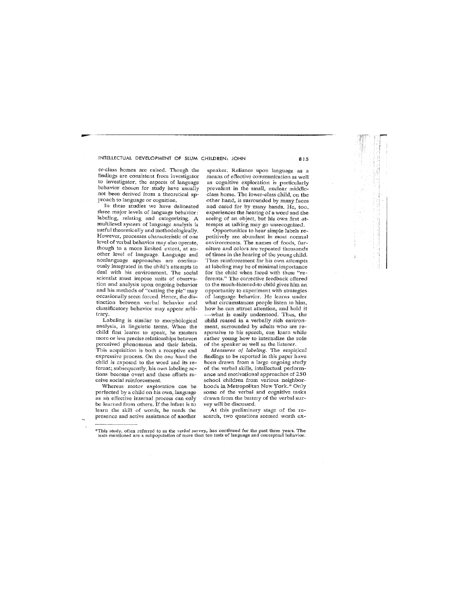# --INTELLECTUAL DEVELOPMENT OF SLUM CHILDREN, JOHN 815

er-class homes are raised. Though the **findings are consistent from investigator to investigator, the aspects of language**  behavior chosen for study have usually not been derived from a theoretical approach to language or cognition.

In these studies we have delineated three major levels of language behavior: labeling, relating and categorizing. A multilevel system of language analysis is useful theoretically and methodologically. **However, processes characteristic of one level of verbal behavior may also operate,**  though to a more limited extent, at another level of language. Language and **nonlanguage approaches are 'continu**ously integrated in the child's attempts to deal with his environment. The social **scientist must impose units of observa**tion and analysis upon ongoing behavior and his methods of "cutting the pie" may occasionally seem forced. Hence, the dis**tinction between verbal behavior and**  classificatory behavior may appear arbitrary.

Labeling is similar to morphological **analysis, in linguistic terms. When the**  child first learns to speak, he masters **n1ore or less precise relations11ips between**  perceived phenomena and their labels. **This acquisition is both a receptive and expressive process. On the one hand the**  child is exposed to the word and its referent; subsequently, his own labeling actions become overt and these efforts re**ceive social reinforcement.** 

**Whereas motor exploration can be**  perfected by a child on his own, language as an effective internal process can only **be learned from others. If the infant is to**  learn the skill of words, he needs the **presence and active assistance of another** 

speaker. Reliance upon language as a means of effective communication as well as cognitive exploration is particularly prevalent in the small, nuclear middleclass home. The lower-class child, on the **other hand, is surrounded by many faces**  and cared for by many hands. He, too, experiences the hearing of a word and the seeing of an ohject, but his own first attempts at talking may go unrecognized.

Opportunities to hear simple labels re**petitively are abundant in most normal**  environments. The names of foods, fur**niture and colors are repeated thousands**  of times in the hearing of the young child. Thus reinforcement for his own attempts at labeling may be of minimal importance for the child when faced with these "re**ferents." The corrective feedback offered**  to the much-listened-to child gives him an opportunity to experiment with strategies of language behavior. *He* learns under what circumstances people listen to him, **how he can attract attention, and hold it**  ~what is easily understood. Thus, the child reared in a verbally rich environ**ment, surrounded by adults who are responsive to his speech, can learn while rather young how to internalize the role of** the speaker as well as the listener.

*Measures of labeling.* The empirical findings to be reported in this paper have been drawn from a large ongoing study **of the verbal skills, intellectual perform**ance and motivational approaches of 250 school children from various neighborhoods in Metropolitan New York.\* Only **some of the verbal and cognitive tasks**  drawn from the battery of the verbal survey will be discussed.

At this preliminary stage of the re**search, two questions seerned worth ex-**

**\*This study, often referred to as the** *verbal survey,* **has continued for the past three years. The tct.ts mentioned are a subpopulation of more than ten tests of language anci conceptual behavior,**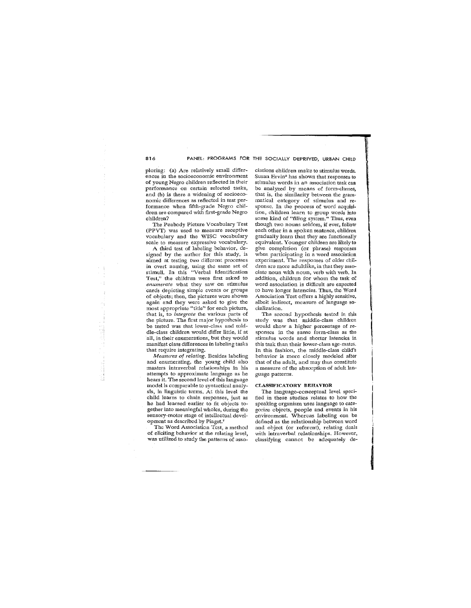#### **816** PANEL: PROGRAMS FOR THE SOCIALLY DEPRIVED, URBAN CHILD

ploring: (a) Are relatively small differ**ences in the socioeconomic environment**  of young Negro children reflected in their **performance on certain selected tasks,**  and (b) is there a widening of socioeco**nomic differences as reflected in test per**formance when fifth-grade Negro children are compared with first-grade Negro children?

The Peabody Picture Vocabulary Test (PPVT) was used to measure receptive vocabulary and the WISC vocabulary scale to measure expressive vocabulary.

A third test of labeling behavior, designed by the author for this study, is aimed at testing two different processes in overt naming, using the same set of stimuli. In this "Verbal Identification Test," the children were first asked to  $e$ *numerate* what they saw on stimulus cards depicting simple events or groups of objects; then, the pictures were shown again and they were asked to give the most appropriate "title" for each picture, that is, to *integrate* the various parts of the picture. The first major hypothesis to be tested was that lower-class and middle-class children would differ little, if at all, in their enumerations, but they would manifest class differences in labeling tasks that require integrating.

*Measures of relating.* Besides labeling and enumerating, the young child also **masters intraverbal relations hips in his**  attempts to approximate language as he hears it. The second level of this language model is comparable to syntactical analysis, in linguistic terms. At this level the child learns to chain responses, just as he had learned earlier to fit objects together into meaningful wholes, during the sensory-motor stage of intellectual development as described by Piaget. <sup>7</sup>

The Word Association Test, a method of eliciting behavior at the relating level, was utilized to study the patterns of associations children make to stimulus words. Susan Ervin<sup>2</sup> has shown that responses to **stimulus words in an association task can**  be analyzed by means of form-classes, that is, the similarity between the grammatical category of stimulus and response. In the process of word acquisition, children learn to group words into **some kind of "filing system." Thus, even**  though two nouns seldom, if ever, follow each other in a spoken sentence, children gradually learn that they are functionally equivalent. Younger children are likely to give completion (or phrase) responses when participating in a word association experiment. The responses of older children are more adultlike, in that they associate noun with noun, verb with verb. In addition, children for whom the task of word association is difficult are expected to have longer latencies. Thus, the Word Association Test offers a highly sensitive, albeit indirect, measure of language so**cialization.** 

\

 $\vert$ 

**International** 

The second hypothesis tested in this study was that middle-class children would show a higher percentage of responses in the same form-class as the **stimulus words and shorter latencies in this task than their lower-class age-mates.**  In this fashion, the middle-class child's behavior is more closely modeled after that of the adult, and may thus constitute a measure of the absorption of adult language patterns.

#### **CLASSIFICATORY BEHAVIOR**

The language-conceptual level specified in these studies relates to how the speaking organism uses language to categorize objects, people and events in his environment. Whereas labeling can be defined as the relationship between word and object (or referent), relating deals **with intraverbal relationships, However,**  classifying cmmot be adequately de-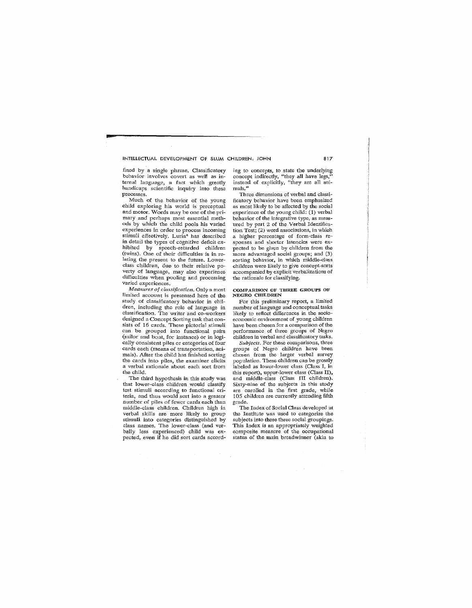#### INTELLECTUAL DEVELOPMENT OF SLUM CHILDREN, JOHN 817

fined by a single phrase. Classificatory behavior involves covert as well as internal language, a fact which greatly handicaps scientific inquiry into these **processes.** 

Much of the behavior of the young child exploring his world is perceptual and motor. Words may be one of the primary and perhaps most essential methods by which the child pools his varied **experiences in order to process incoming**  stimuli effectively. Luria<sup>6</sup> has described in detail the types of cognitive deficit exhibited by speech-retarded children (twins). One of their difficulties is in relating the present to the future. Lowerclass children, due to their relative poverty of language, may also experience difficulties when pooling and processing **varied experiences.** 

*Measures of classification.* **Only a most**  limited account is presented here of the study of classificatory behavior in children, including the role of language in classification. The writer and co-workers designed a Concept Sorting task that consists of 16 cards. These pictorial stimuli can be grouped into functional pairs (sailor and boat, for instance) or in logically consistent piles or categories of four **cards each (means of transportation, ani**mals). After the child has finished sorting the cards into piles, the examiner elicits a verbal rationale about each sort from the child.

The third hypothesis in this study was that lower-class children would classify test stimuli according to functional cri**teria, and thus would sort into a greater**  number of piles of fewer cards each than middle-class children. Children high in verbal skills are more likely to group stimuli into categories distinguished by class names. The lower-class (and verbally less experienced) child was expected, even if he did sort cards according to concepts, to state the underlying concept indirectly, "they **all** have legs," instead of explicitly, "they are all ani**nials~"** 

Three dimensions of verbal and classificatory behavior have been emphasized as most likely to be affected by the social experience of the young child: (1) verbal behavior of the integrative type, as measured by part 2 of the Verbal Identifica**tion Test; (2) word associations, in which**  a higher percentage of form-class responses and shorter latencies were expected to be given by children from the more advantaged social groups; and (3) **sorting behavior, in which middle-class**  children were likely to give concept-sorts accompanied by explicit verbalizations of the rationale for classifying.

#### **COMPARISON OF THREE GROUPS OF NEGRO CHILDREN**

For this preliminary report, a limited number of language and conceptual tasks likely to reflect differences in the socioeconomic environment of young children have been chosen for a comparison of the performance of three groups of Negro children in verbal and classificatory tasks.

*Subjects.* For these comparisons, three groups of Negro children have been chosen from the larger verbal survey population. 'lbese children can be grossly labeled as lower-lower class (Class I, in this report), upper-lower class (Class II), and middle-class (Class III children). Sixty-nine of the subjects in this study are enrolled in the first grade, while 105 children are currently attending fifth grade.

The Index of Social Class developed at the Institute was used to categorize the subjects into these three social groupings. This Index is an appropriately weighted composite measure of the occupational status of the main breadwinner (akin to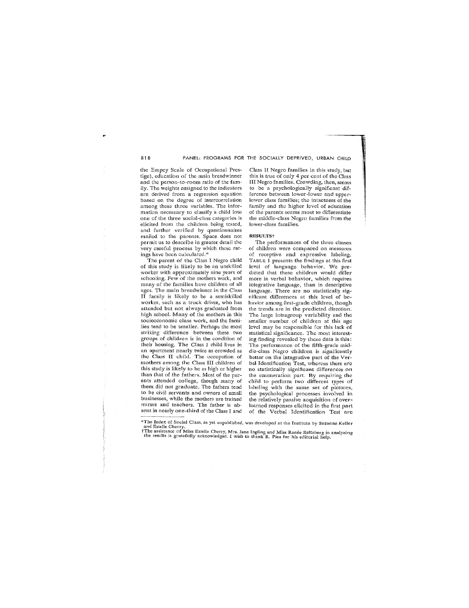## 818 PANEL, PROGRAMS FOR THE SOCIALLY DEPRIVED, URBAN CHILD ~

the Empey Scale of Occupational Prestige), education of the main breadwinner and the person-to-room ratio of the family. The weights assigned to the indicators are derived from a regression equation based on the degree of intercorrelation among these three variables. The information necessary to classify a child into one of the three social-class categories is elicited from the children being tested, and further verified by questionnaires mailed to the parents. Space does not permit us to describe in greater detail lhe very careful process by which these rat-ings have been calculated,\*

The parent of the Class T Negro child of this study is likely to be an unskilled worker with approximately nine years of schooling. Few of the mothers work, and many of the families have children of all ages. The main breadwinner in the Class II family is likely to be a semiskilled worker, such as a truck driver, who has attended but not always graduated from high school. Many of the mothers in this socioeconomic class work, and the families tend to be smaller. Perhaps the most striking difference between these two groups of children is in the condition of their housing. The Class 1 child lives in an apartment nearly twice as crowded as the Class II child. The occupation of mothers among the Class III children of this study is likely to be as high or higher than that of the fathers. Most of the parents attended college, though many of them did not graduate, The fathers tend to be civil servants and owners of small businesses, while the mothers are trained nurses and teachers. The father is absent in nearly one-third of the Class I and Class II Negro families in this study, but this is true of only 4 per cent of the Class III Negro families. Crowding, then, seems to be a psychologically significant difference between lower-lower and upperlower class families; the intactness of the family and the higher level of education of the parents seems rnost to differentiate the middle-class Negro families from the lower-class families.

#### **RESULTS't**

The performances of the three classes of children were compared on measures of receptive and expressive labeling. TABLE l presents the findings at this first level of language behavior. We predicted that these children would differ more in verbal behavior, which requires integrative language, than in descriptive language. There are no statistically significant differences at this level of behavior among first-grade children, though the trends are in the predicted direction. The large intragroup variability and the smaller number of children at this age level may be responsible for this lack of statistical significance. The most interesting finding revealed by these data is this: The performance of the fifth-grade middle-class Negro children is significantly better on the integrative part of the Verbal Identification Test, whereas there nrc no statistically significant di ffercnccs on the enumeration part. By requiring the child to perform two different types of labeling with the same set of pictures, the psychological processes involved in the relatively passive acquisition of overlearned responses elicited in the first part of the Verbal Identification Test are

\*The Index 0£ Social Class, as yet unpublished, was developed at the Institute by Suzanne Keller and Estelle Cherry.

TThe assistance of Miss Estelle Cherry, Mrs. Jane Ingling and Miss Renée Saltzberg in analyzing the results 1s gratefully acknowledged. I wish to thank R. Pies for his editorial help.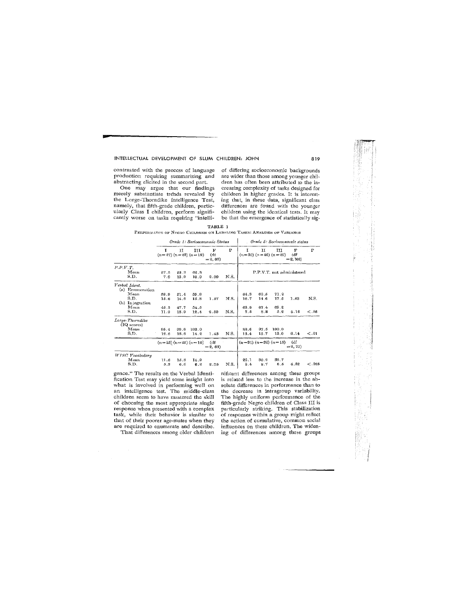#### INTELLECTUAL DEVELOPMENT OF SLUM CHILDREN: JOHN

contrasted with the process of language production requiring summarizing and abstracting elicited in the second part.

One may argue that our findings merely substantiate trends revealed by the Lorge-Thorndike Intelligence Test, namely, that fifth-grade children, particularly Class I children, perform significantly worse on tasks requiring "intelli-

of differing socioeconomic backgrounds are wider than those among younger children has often been attributed to the increasing complexity of tasks designed for children in higher grades. It is interesting that, in these data, significant class differences are found with the younger children using the identical tests. It may be that the emergence of statistically sig-

819

#### TABLE 1

PERFORMANCE OF NEGRO CHILDREN ON LABELING TASKS: ANALYSES OF VARIANCE

 $\mathbf{r}$ 

|                 |      |      | Grade 1: Socioeconomic Status   |                       |      | Grade 5: Socioeconomic status |      |                                 |                           |         |
|-----------------|------|------|---------------------------------|-----------------------|------|-------------------------------|------|---------------------------------|---------------------------|---------|
|                 |      | П    | ш<br>$(n=27)$ $(n=23)$ $(n=19)$ | F<br>(di<br>$= 2, 66$ | ь    | I                             | п    | ш<br>$(n=80)$ $(n=46)$ $(n=90)$ | F<br>(df<br>$= 2, 102$    | Р       |
| P.P.V.T.        |      |      |                                 |                       |      |                               |      |                                 |                           |         |
| Mean            | 57.5 | 55.3 | 62.8                            |                       |      |                               |      |                                 | P.P.V.T. not administered |         |
| S.D.            | 7.9  | 13.9 | 10.9                            | 2.99                  | N.S. |                               |      |                                 |                           |         |
| Verbal Ident,   |      |      |                                 |                       |      |                               |      |                                 |                           |         |
| (a) Enumeration |      |      |                                 |                       |      |                               |      |                                 |                           |         |
| Mean            | 53.9 | 51.4 | 59.9                            |                       |      | 64.3                          | 69.5 | 71.2                            |                           |         |
| S.D.            | 15.6 | 14.6 | 15.8                            | 1.57                  | N.S. | 16.7                          | 14.6 | 17.5                            | 1.63                      | N.S.    |
| (b) Integration |      |      |                                 |                       |      |                               |      |                                 |                           |         |
| Mean            | 46.5 | 47.7 | 54.5                            |                       |      | 63.6                          | 67.4 | 69.2                            |                           |         |
| S.D.            | 11.9 | 15.9 | 12.4                            | 2.50                  | N.S. | 7.5                           | 8.8  | 5, 2                            | 4.16                      | < 0.05  |
| Lorge-Thorndiko |      |      |                                 |                       |      |                               |      |                                 |                           |         |
| (IQ scores)     |      |      |                                 |                       |      |                               |      |                                 |                           |         |
| Mean            | 95.4 | 90.6 | 103.0                           |                       |      | 88.6                          | 97.5 | 100.0                           |                           |         |
| S.D.            | 12.6 | 18.6 | 14.2                            | 1.48                  | N.S. | 13.4                          | 13.7 | 18.0                            | 6.14                      | < .01   |
|                 |      |      | $(n=25)$ $(n=25)$ $(n=16)$      | (df                   |      |                               |      | $(n=31)$ $(n=32)$ $(n=15)$      | (df                       |         |
|                 |      |      |                                 | $= 2, 69$             |      |                               |      |                                 | $= 2, 75$                 |         |
| WISC Vocabulary |      |      |                                 |                       |      |                               |      |                                 |                           |         |
| Mean            | 11.6 | 15.3 | 14.9                            |                       |      | 26.1                          | 30.2 | 33.7                            |                           |         |
| S.D.            | 5.3  | 6.6  | 6.2                             | 2.75                  | N.S. | 8.4                           | 8.7  | 6.5                             | 4.82                      | < 0.095 |

gence." The results on the Verbal Identification Test may yield some insight into what is involved in performing well on<br>an intelligence test. The middle-class children seem to have mastered the skill of choosing the most appropriate single<br>response when presented with a complex<br>task, while their behavior is similar to that of their poorer age-mates when they are required to enumerate and describe. That differences among older children

nificant differences among these groups is related less to the increase in the absolute differences in performance than to the decrease in intragroup variability. the decrease in uniquoup variables<br>fith-grade Negro children of Class III is<br>fith-grade Negro children of Class III is<br>particularly striking. This stabilization<br>of responses within a group might reflect the action of cumulative, common social influences on these children. The widening of differences among these groups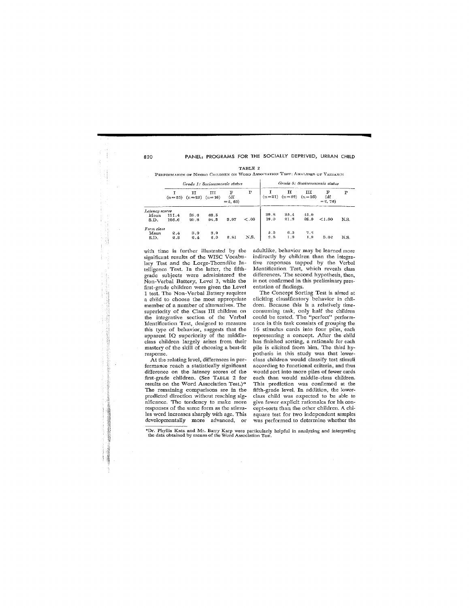#### PANEL: PROGRAMS FOR THE SOCIALLY DEPRIVED, URBAN CHILD

| `ABL. | и |  |
|-------|---|--|
|       |   |  |

PERFORMANCE OF NEGRO CHILDREN ON WORD ASSOCIATION TEST: ANALYSES OF VARIANCE

|                | Grade 1: Socioeconomic status |                        |               |                 |        |            | Grade 5, Socioeconomic status |                        |                       |      |  |
|----------------|-------------------------------|------------------------|---------------|-----------------|--------|------------|-------------------------------|------------------------|-----------------------|------|--|
|                |                               | ш<br>$(n=25)$ $(n=25)$ | ш<br>$(n=16)$ | (df<br>$= 2.63$ | г      | $(n = 31)$ |                               | ш<br>$(n=32)$ $(n=16)$ | г<br>(df<br>$= 2, 76$ | Р    |  |
| Latency scores |                               | 38.6                   | 68.5          |                 |        | 39.8       | 85.4                          | 41.0                   |                       |      |  |
| Mean<br>S.D.   | 111.4<br>126.6                | 20.8                   | 94.3          | 3.97            | < 0.05 | 19.0       | 21.3                          | 28.0                   | < 1.00                | N.S. |  |
| Form class     |                               |                        |               |                 |        | 5.5        | 6.5                           | 7.9                    |                       |      |  |
| Mean<br>S.D.   | 2.4<br>2.3                    | 3.9<br>2.4             | 3.9<br>2.9    | 2.81            | N.S.   | 2.8        | 1.9                           | 1.9                    | 3.02                  | N.S. |  |

with time is further illustrated by the significant results of the WISC Vocabulary Test and the Lorge-Thorndike Intelligence Test. In the latter, the fifthgrade subjects were administered the Non-Verbal Battery, Level 3, while the first-grade children were given the Level 1 test. The Non-Verbal Battery requires a child to choose the most appropriate member of a number of alternatives. The superiority of the Class III children on the integrative section of the Verbal<br>Identification Test, designed to measure this type of behavior, suggests that the<br>apparent IQ superiority of the middleclass children largely arises from their<br>mastery of the skill of choosing a best-fit response.

At the relating level, differences in performance reach a statistically significant difference on the latency scores of the<br>first-grade children. (See TABLE 2 for results on the Word Association Test.)\* The remaining comparisons are in the predicted direction without reaching significance. The tendency to make more responses of the same form as the stimulus word increases sharply with age. This developmentally more advanced, or adultlike, behavior may be learned more indirectly by children than the integrative responses tapped by the Verbal Identification Test, which reveals class<br>differences. The second hypothesis, then, is not confirmed in this preliminary presentation of findings.

The Concept Sorting Test is aimed at eliciting classificatory behavior in children. Because this is a relatively timeconsuming task, only half the children<br>could be tested. The "perfect" perform-<br>ance in this task consists of grouping the 16 stimulus cards into four piles, each representing a concept. After the child has finished sorting, a rationale for each<br>pile is elicited from him. The third hyphe is elected from min. The lime hy-<br>pothesis in this study was that lower-<br>class children would classify test stimuli according to functional criteria, and thus would sort into more piles of fewer cards each than would middle-class children. This prediction was confirmed at the fifth-grade level. In addition, the lowerclass child was expected to be able to give fewer explicit rationales for his concept-sorts than the other children. A chisquare test for two independent samples was performed to determine whether the

FDr. Phyllis Katz and Mr. Barry Karp were particularly helpful in analyzing and interpreting the data obtained by means of the Word Association Test.

820

**Contract Report**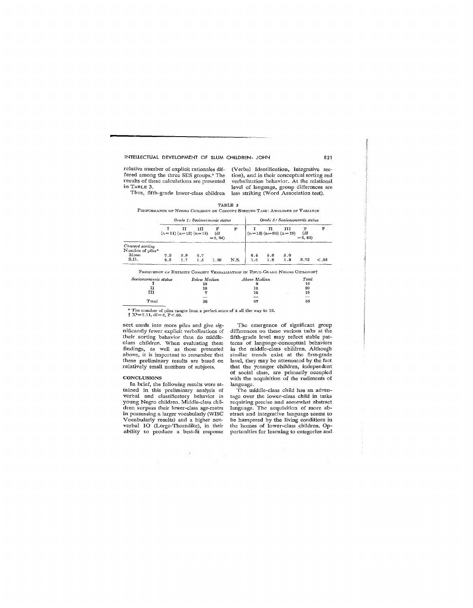#### INTELLECTUAL DEVELOPMENT OF SLUM CHILDREN: JOHN

relative number of explicit rationales differed among the three SES groups.<sup>9</sup> The results of these calculations are presented in TABLE 3. Thus, fifth-grade lower-class children

(Verbal Identification, Integrative section), and in their conceptual sorting and verbalization behavior. At the relational level of language, group differences are<br>less striking (Word Association test).

TABLE 3

#### PERFORMANCE OF NEGRO CULTUREN ON CONCEPT SORTING TASK: ANALYSES OF VARIANCE

|                                                     |            |                            |                      | Grade 1: Socioeconomic status |      |     |                      |                                     | Grade 5: Socioeconomic status |         |
|-----------------------------------------------------|------------|----------------------------|----------------------|-------------------------------|------|-----|----------------------|-------------------------------------|-------------------------------|---------|
|                                                     |            | $(n=11)$ $(n=13)$ $(n=13)$ |                      | (df<br>$= 2.34$               | P    |     |                      | ш<br>$(n=16)$ $(n=80)$ $(n=19)$ (df | Р<br>$= 2, 62$                |         |
| Concept sorting<br>Number of piles*<br>Mean<br>S.D. | 7.8<br>9.3 | 5.9<br>1.7                 | 6.7<br>$\frac{1}{5}$ | 1.99                          | N.S. | 6.4 | 5.6<br>$1.6$ 1.8 1.8 | 5.0                                 | -9.75                         | $<$ 0.6 |

| Socioeconomic status | Below Median | Above Median | Total                    |
|----------------------|--------------|--------------|--------------------------|
|                      | 18           | 3            | 16                       |
|                      | 18           | 12           | 30                       |
| ×.<br>TIT            |              | 12           | 19<br>٠.                 |
|                      | -            | -            | $\overline{\phantom{m}}$ |
| Total                | 38           | 27           | 65                       |

\* The number of piles ranges from a perfect score of 4 all the way to 12.<br>†  $X^2 = 7.11$ , df = 2, P < 05.

sort cards into more piles and give significantly fewer explicit verbalizations of their sorting behavior than do middle-<br>class children. When evaluating these findings, as well as those presented<br>above, it is important to remember that these preliminary results are based on<br>relatively small numbers of subjects.

#### **CONCLUSIONS**

In brief, the following results were attained in this preliminary analysis of verbal and classificatory behavior in young Negro children. Middle-class children surpass their lower-class age-mates in possessing a larger vocabularly (WISC Vocabularly results) and a higher nonverbal IQ (Lorge-Thorndike), in their ability to produce a best-fit response

The emergence of significant group differences on these various tasks at the fifth-grade level may reflect stable patterns of language-conceptual behaviors<br>in the middle-class children, Although<br>similar trends exist at the first-grade level, they may be attenuated by the fact that the younger children, independent of social class, are primarily occupied with the acquisition of the rudiments of language.

The middle-class child has an advantage over the lower-class child in tasks requiring precise and somewhat abstract language. The acquisition of more abstract and integrative language seems to be hampered by the living conditions in the homes of lower-class children. Opportunities for learning to categorize and

821